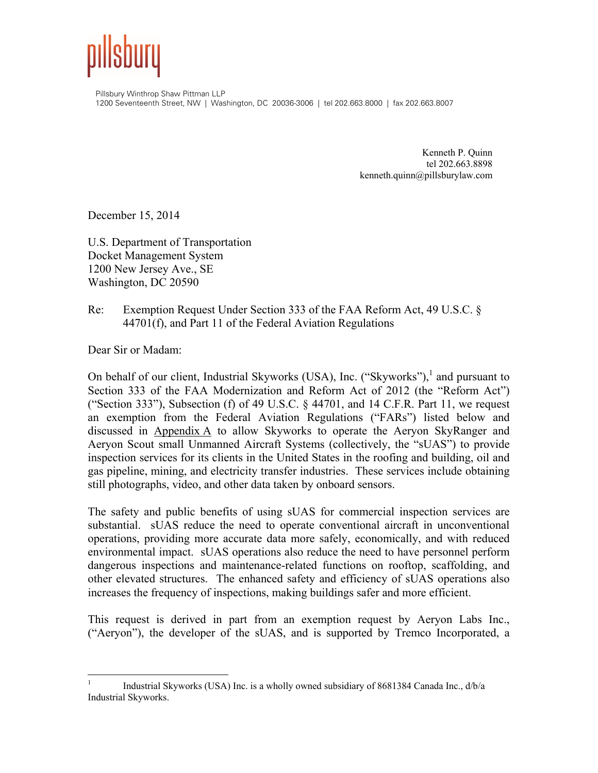

Pillsbury Winthrop Shaw Pittman LLP 1200 Seventeenth Street, NW | Washington, DC 20036-3006 | tel 202.663.8000 | fax 202.663.8007

> Kenneth P. Quinn tel 202.663.8898 kenneth.quinn@pillsburylaw.com

December 15, 2014

U.S. Department of Transportation Docket Management System 1200 New Jersey Ave., SE Washington, DC 20590

#### Re: Exemption Request Under Section 333 of the FAA Reform Act, 49 U.S.C. § 44701(f), and Part 11 of the Federal Aviation Regulations

Dear Sir or Madam:

On behalf of our client, Industrial Skyworks (USA), Inc. ("Skyworks"), $^1$  and pursuant to Section 333 of the FAA Modernization and Reform Act of 2012 (the "Reform Act") ("Section 333"), Subsection (f) of 49 U.S.C.  $\S$  44701, and 14 C.F.R. Part 11, we request an exemption from the Federal Aviation Regulations ("FARs") listed below and discussed in Appendix A to allow Skyworks to operate the Aeryon SkyRanger and Aeryon Scout small Unmanned Aircraft Systems (collectively, the "sUAS") to provide inspection services for its clients in the United States in the roofing and building, oil and gas pipeline, mining, and electricity transfer industries. These services include obtaining still photographs, video, and other data taken by onboard sensors.

The safety and public benefits of using sUAS for commercial inspection services are substantial. sUAS reduce the need to operate conventional aircraft in unconventional operations, providing more accurate data more safely, economically, and with reduced environmental impact. sUAS operations also reduce the need to have personnel perform dangerous inspections and maintenance-related functions on rooftop, scaffolding, and other elevated structures. The enhanced safety and efficiency of sUAS operations also increases the frequency of inspections, making buildings safer and more efficient.

This request is derived in part from an exemption request by Aeryon Labs Inc., ("Aeryon"), the developer of the sUAS, and is supported by Tremco Incorporated, a

 $\frac{1}{1}$  Industrial Skyworks (USA) Inc. is a wholly owned subsidiary of 8681384 Canada Inc., d/b/a Industrial Skyworks.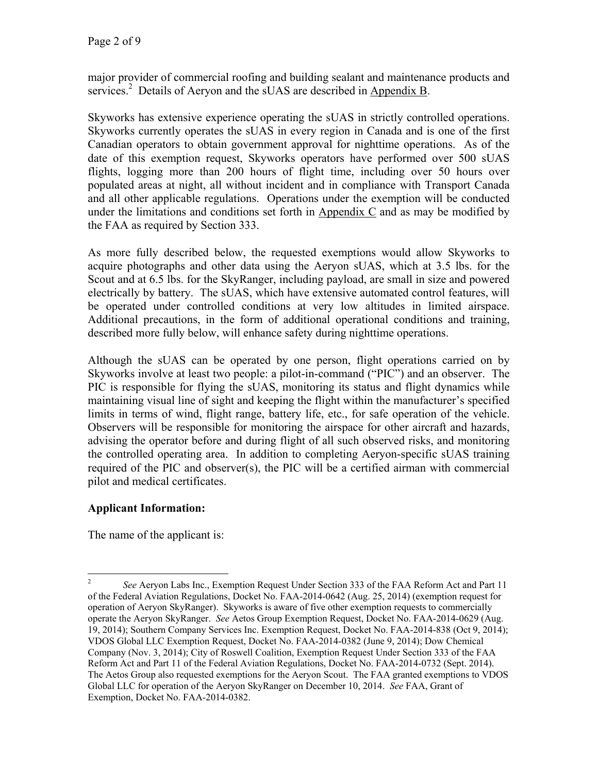major provider of commercial roofing and building sealant and maintenance products and services.<sup>2</sup> Details of Aeryon and the sUAS are described in Appendix B.

Skyworks has extensive experience operating the sUAS in strictly controlled operations. Skyworks currently operates the sUAS in every region in Canada and is one of the first Canadian operators to obtain government approval for nighttime operations. As of the date of this exemption request, Skyworks operators have performed over 500 sUAS flights, logging more than 200 hours of flight time, including over 50 hours over populated areas at night, all without incident and in compliance with Transport Canada and all other applicable regulations. Operations under the exemption will be conducted under the limitations and conditions set forth in Appendix C and as may be modified by the FAA as required by Section 333.

As more fully described below, the requested exemptions would allow Skyworks to acquire photographs and other data using the Aeryon sUAS, which at 3.5 lbs. for the Scout and at 6.5 lbs. for the SkyRanger, including payload, are small in size and powered electrically by battery. The sUAS, which have extensive automated control features, will be operated under controlled conditions at very low altitudes in limited airspace. Additional precautions, in the form of additional operational conditions and training, described more fully below, will enhance safety during nighttime operations.

Although the sUAS can be operated by one person, flight operations carried on by Skyworks involve at least two people: a pilot-in-command ("PIC") and an observer. The PIC is responsible for flying the sUAS, monitoring its status and flight dynamics while maintaining visual line of sight and keeping the flight within the manufacturer's specified limits in terms of wind, flight range, battery life, etc., for safe operation of the vehicle. Observers will be responsible for monitoring the airspace for other aircraft and hazards, advising the operator before and during flight of all such observed risks, and monitoring the controlled operating area. In addition to completing Aeryon-specific sUAS training required of the PIC and observer(s), the PIC will be a certified airman with commercial pilot and medical certificates.

# **Applicant Information:**

The name of the applicant is:

 $\frac{1}{2}$  *See* Aeryon Labs Inc., Exemption Request Under Section 333 of the FAA Reform Act and Part 11 of the Federal Aviation Regulations, Docket No. FAA-2014-0642 (Aug. 25, 2014) (exemption request for operation of Aeryon SkyRanger). Skyworks is aware of five other exemption requests to commercially operate the Aeryon SkyRanger. *See* Aetos Group Exemption Request, Docket No. FAA-2014-0629 (Aug. 19, 2014); Southern Company Services Inc. Exemption Request, Docket No. FAA-2014-838 (Oct 9, 2014); VDOS Global LLC Exemption Request, Docket No. FAA-2014-0382 (June 9, 2014); Dow Chemical Company (Nov. 3, 2014); City of Roswell Coalition, Exemption Request Under Section 333 of the FAA Reform Act and Part 11 of the Federal Aviation Regulations, Docket No. FAA-2014-0732 (Sept. 2014). The Aetos Group also requested exemptions for the Aeryon Scout. The FAA granted exemptions to VDOS Global LLC for operation of the Aeryon SkyRanger on December 10, 2014. *See* FAA, Grant of Exemption, Docket No. FAA-2014-0382.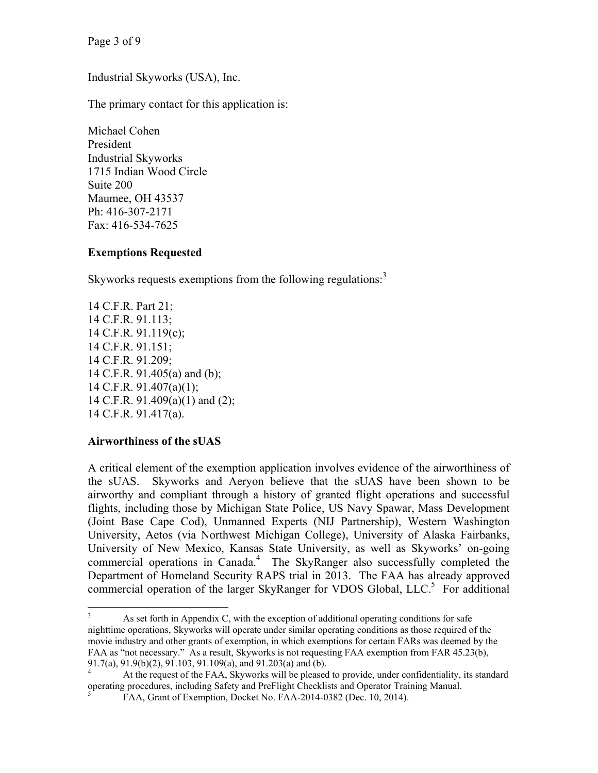Page 3 of 9

Industrial Skyworks (USA), Inc.

The primary contact for this application is:

Michael Cohen President Industrial Skyworks 1715 Indian Wood Circle Suite 200 Maumee, OH 43537 Ph: 416-307-2171 Fax: 416-534-7625

## **Exemptions Requested**

Skyworks requests exemptions from the following regulations.<sup>3</sup>

14 C.F.R. Part 21; 14 C.F.R. 91.113; 14 C.F.R. 91.119(c); 14 C.F.R. 91.151; 14 C.F.R. 91.209; 14 C.F.R. 91.405(a) and (b); 14 C.F.R. 91.407(a)(1); 14 C.F.R. 91.409(a)(1) and (2); 14 C.F.R. 91.417(a).

## **Airworthiness of the sUAS**

A critical element of the exemption application involves evidence of the airworthiness of the sUAS. Skyworks and Aeryon believe that the sUAS have been shown to be airworthy and compliant through a history of granted flight operations and successful flights, including those by Michigan State Police, US Navy Spawar, Mass Development (Joint Base Cape Cod), Unmanned Experts (NIJ Partnership), Western Washington University, Aetos (via Northwest Michigan College), University of Alaska Fairbanks, University of New Mexico, Kansas State University, as well as Skyworks' on-going commercial operations in Canada.<sup>4</sup> The SkyRanger also successfully completed the Department of Homeland Security RAPS trial in 2013. The FAA has already approved commercial operation of the larger SkyRanger for VDOS Global, LLC.<sup>5</sup> For additional

 3 As set forth in Appendix C, with the exception of additional operating conditions for safe nighttime operations, Skyworks will operate under similar operating conditions as those required of the movie industry and other grants of exemption, in which exemptions for certain FARs was deemed by the FAA as "not necessary." As a result, Skyworks is not requesting FAA exemption from FAR 45.23(b), 91.7(a), 91.9(b)(2), 91.103, 91.109(a), and 91.203(a) and (b).

<sup>4</sup> At the request of the FAA, Skyworks will be pleased to provide, under confidentiality, its standard operating procedures, including Safety and PreFlight Checklists and Operator Training Manual. 5

FAA, Grant of Exemption, Docket No. FAA-2014-0382 (Dec. 10, 2014).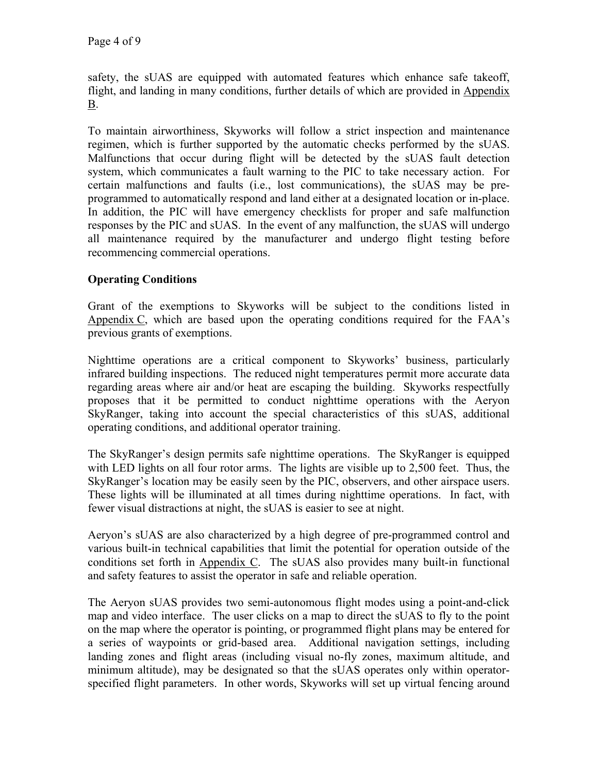safety, the sUAS are equipped with automated features which enhance safe takeoff, flight, and landing in many conditions, further details of which are provided in Appendix B.

To maintain airworthiness, Skyworks will follow a strict inspection and maintenance regimen, which is further supported by the automatic checks performed by the sUAS. Malfunctions that occur during flight will be detected by the sUAS fault detection system, which communicates a fault warning to the PIC to take necessary action. For certain malfunctions and faults (i.e., lost communications), the sUAS may be preprogrammed to automatically respond and land either at a designated location or in-place. In addition, the PIC will have emergency checklists for proper and safe malfunction responses by the PIC and sUAS. In the event of any malfunction, the sUAS will undergo all maintenance required by the manufacturer and undergo flight testing before recommencing commercial operations.

# **Operating Conditions**

Grant of the exemptions to Skyworks will be subject to the conditions listed in Appendix C, which are based upon the operating conditions required for the FAA's previous grants of exemptions.

Nighttime operations are a critical component to Skyworks' business, particularly infrared building inspections. The reduced night temperatures permit more accurate data regarding areas where air and/or heat are escaping the building. Skyworks respectfully proposes that it be permitted to conduct nighttime operations with the Aeryon SkyRanger, taking into account the special characteristics of this sUAS, additional operating conditions, and additional operator training.

The SkyRanger's design permits safe nighttime operations. The SkyRanger is equipped with LED lights on all four rotor arms. The lights are visible up to 2,500 feet. Thus, the SkyRanger's location may be easily seen by the PIC, observers, and other airspace users. These lights will be illuminated at all times during nighttime operations. In fact, with fewer visual distractions at night, the sUAS is easier to see at night.

Aeryon's sUAS are also characterized by a high degree of pre-programmed control and various built-in technical capabilities that limit the potential for operation outside of the conditions set forth in  $\Delta$ ppendix  $\overline{C}$ . The sUAS also provides many built-in functional and safety features to assist the operator in safe and reliable operation.

The Aeryon sUAS provides two semi-autonomous flight modes using a point-and-click map and video interface. The user clicks on a map to direct the sUAS to fly to the point on the map where the operator is pointing, or programmed flight plans may be entered for a series of waypoints or grid-based area. Additional navigation settings, including landing zones and flight areas (including visual no-fly zones, maximum altitude, and minimum altitude), may be designated so that the sUAS operates only within operatorspecified flight parameters. In other words, Skyworks will set up virtual fencing around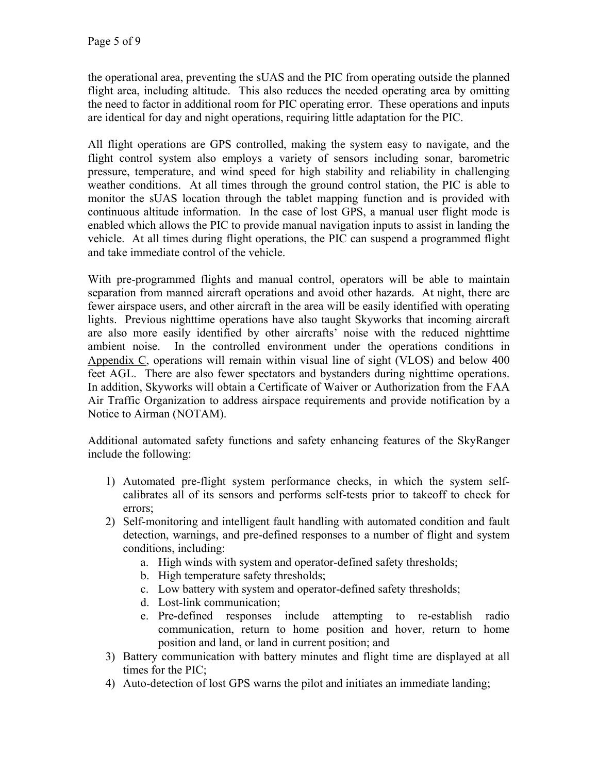the operational area, preventing the sUAS and the PIC from operating outside the planned flight area, including altitude. This also reduces the needed operating area by omitting the need to factor in additional room for PIC operating error. These operations and inputs are identical for day and night operations, requiring little adaptation for the PIC.

All flight operations are GPS controlled, making the system easy to navigate, and the flight control system also employs a variety of sensors including sonar, barometric pressure, temperature, and wind speed for high stability and reliability in challenging weather conditions. At all times through the ground control station, the PIC is able to monitor the sUAS location through the tablet mapping function and is provided with continuous altitude information. In the case of lost GPS, a manual user flight mode is enabled which allows the PIC to provide manual navigation inputs to assist in landing the vehicle. At all times during flight operations, the PIC can suspend a programmed flight and take immediate control of the vehicle.

With pre-programmed flights and manual control, operators will be able to maintain separation from manned aircraft operations and avoid other hazards. At night, there are fewer airspace users, and other aircraft in the area will be easily identified with operating lights. Previous nighttime operations have also taught Skyworks that incoming aircraft are also more easily identified by other aircrafts' noise with the reduced nighttime ambient noise. In the controlled environment under the operations conditions in Appendix C, operations will remain within visual line of sight (VLOS) and below 400 feet AGL. There are also fewer spectators and bystanders during nighttime operations. In addition, Skyworks will obtain a Certificate of Waiver or Authorization from the FAA Air Traffic Organization to address airspace requirements and provide notification by a Notice to Airman (NOTAM).

Additional automated safety functions and safety enhancing features of the SkyRanger include the following:

- 1) Automated pre-flight system performance checks, in which the system selfcalibrates all of its sensors and performs self-tests prior to takeoff to check for errors;
- 2) Self-monitoring and intelligent fault handling with automated condition and fault detection, warnings, and pre-defined responses to a number of flight and system conditions, including:
	- a. High winds with system and operator-defined safety thresholds;
	- b. High temperature safety thresholds;
	- c. Low battery with system and operator-defined safety thresholds;
	- d. Lost-link communication;
	- e. Pre-defined responses include attempting to re-establish radio communication, return to home position and hover, return to home position and land, or land in current position; and
- 3) Battery communication with battery minutes and flight time are displayed at all times for the PIC;
- 4) Auto-detection of lost GPS warns the pilot and initiates an immediate landing;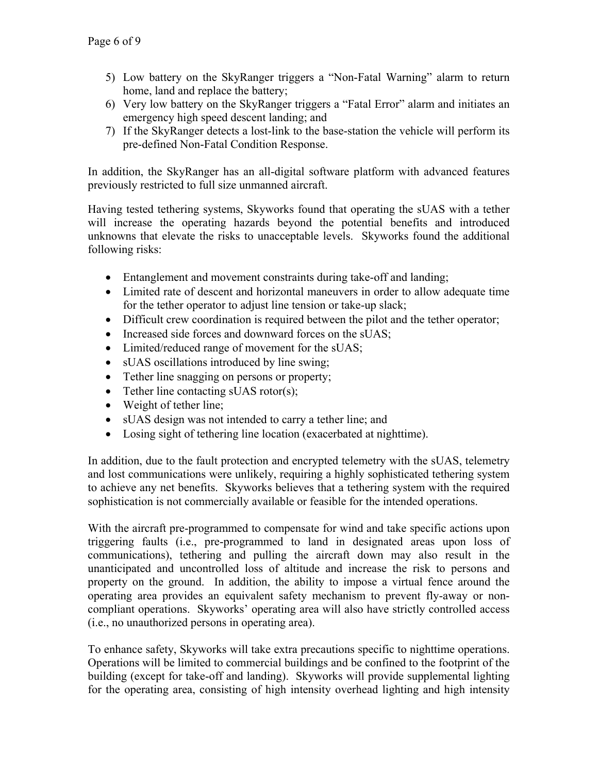- 5) Low battery on the SkyRanger triggers a "Non-Fatal Warning" alarm to return home, land and replace the battery;
- 6) Very low battery on the SkyRanger triggers a "Fatal Error" alarm and initiates an emergency high speed descent landing; and
- 7) If the SkyRanger detects a lost-link to the base-station the vehicle will perform its pre-defined Non-Fatal Condition Response.

In addition, the SkyRanger has an all-digital software platform with advanced features previously restricted to full size unmanned aircraft.

Having tested tethering systems, Skyworks found that operating the sUAS with a tether will increase the operating hazards beyond the potential benefits and introduced unknowns that elevate the risks to unacceptable levels. Skyworks found the additional following risks:

- Entanglement and movement constraints during take-off and landing;
- Limited rate of descent and horizontal maneuvers in order to allow adequate time for the tether operator to adjust line tension or take-up slack;
- Difficult crew coordination is required between the pilot and the tether operator;
- Increased side forces and downward forces on the sUAS;
- Limited/reduced range of movement for the sUAS;
- sUAS oscillations introduced by line swing;
- Tether line snagging on persons or property;
- Tether line contacting sUAS rotor(s);
- Weight of tether line;
- sUAS design was not intended to carry a tether line; and
- Losing sight of tethering line location (exacerbated at nighttime).

In addition, due to the fault protection and encrypted telemetry with the sUAS, telemetry and lost communications were unlikely, requiring a highly sophisticated tethering system to achieve any net benefits. Skyworks believes that a tethering system with the required sophistication is not commercially available or feasible for the intended operations.

With the aircraft pre-programmed to compensate for wind and take specific actions upon triggering faults (i.e., pre-programmed to land in designated areas upon loss of communications), tethering and pulling the aircraft down may also result in the unanticipated and uncontrolled loss of altitude and increase the risk to persons and property on the ground. In addition, the ability to impose a virtual fence around the operating area provides an equivalent safety mechanism to prevent fly-away or noncompliant operations. Skyworks' operating area will also have strictly controlled access (i.e., no unauthorized persons in operating area).

To enhance safety, Skyworks will take extra precautions specific to nighttime operations. Operations will be limited to commercial buildings and be confined to the footprint of the building (except for take-off and landing). Skyworks will provide supplemental lighting for the operating area, consisting of high intensity overhead lighting and high intensity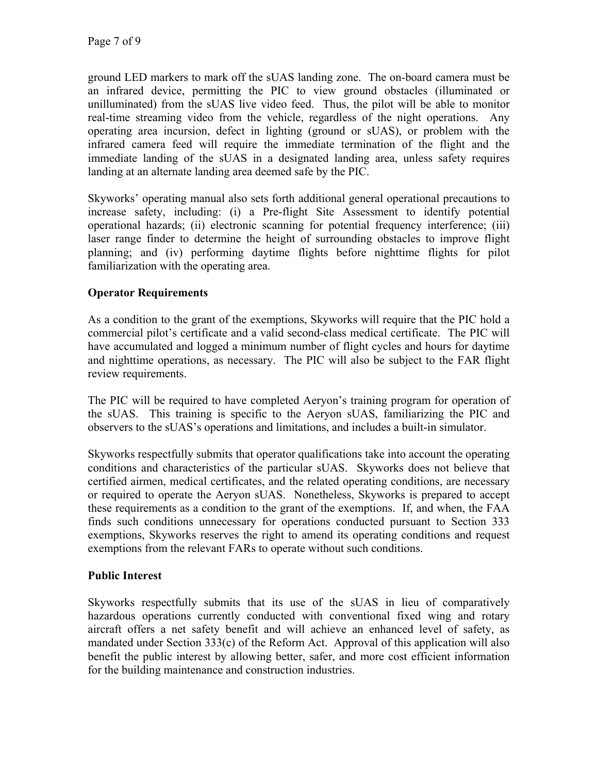ground LED markers to mark off the sUAS landing zone. The on-board camera must be an infrared device, permitting the PIC to view ground obstacles (illuminated or unilluminated) from the sUAS live video feed. Thus, the pilot will be able to monitor real-time streaming video from the vehicle, regardless of the night operations. Any operating area incursion, defect in lighting (ground or sUAS), or problem with the infrared camera feed will require the immediate termination of the flight and the immediate landing of the sUAS in a designated landing area, unless safety requires landing at an alternate landing area deemed safe by the PIC.

Skyworks' operating manual also sets forth additional general operational precautions to increase safety, including: (i) a Pre-flight Site Assessment to identify potential operational hazards; (ii) electronic scanning for potential frequency interference; (iii) laser range finder to determine the height of surrounding obstacles to improve flight planning; and (iv) performing daytime flights before nighttime flights for pilot familiarization with the operating area.

# **Operator Requirements**

As a condition to the grant of the exemptions, Skyworks will require that the PIC hold a commercial pilot's certificate and a valid second-class medical certificate. The PIC will have accumulated and logged a minimum number of flight cycles and hours for daytime and nighttime operations, as necessary. The PIC will also be subject to the FAR flight review requirements.

The PIC will be required to have completed Aeryon's training program for operation of the sUAS. This training is specific to the Aeryon sUAS, familiarizing the PIC and observers to the sUAS's operations and limitations, and includes a built-in simulator.

Skyworks respectfully submits that operator qualifications take into account the operating conditions and characteristics of the particular sUAS. Skyworks does not believe that certified airmen, medical certificates, and the related operating conditions, are necessary or required to operate the Aeryon sUAS. Nonetheless, Skyworks is prepared to accept these requirements as a condition to the grant of the exemptions. If, and when, the FAA finds such conditions unnecessary for operations conducted pursuant to Section 333 exemptions, Skyworks reserves the right to amend its operating conditions and request exemptions from the relevant FARs to operate without such conditions.

# **Public Interest**

Skyworks respectfully submits that its use of the sUAS in lieu of comparatively hazardous operations currently conducted with conventional fixed wing and rotary aircraft offers a net safety benefit and will achieve an enhanced level of safety, as mandated under Section 333(c) of the Reform Act. Approval of this application will also benefit the public interest by allowing better, safer, and more cost efficient information for the building maintenance and construction industries.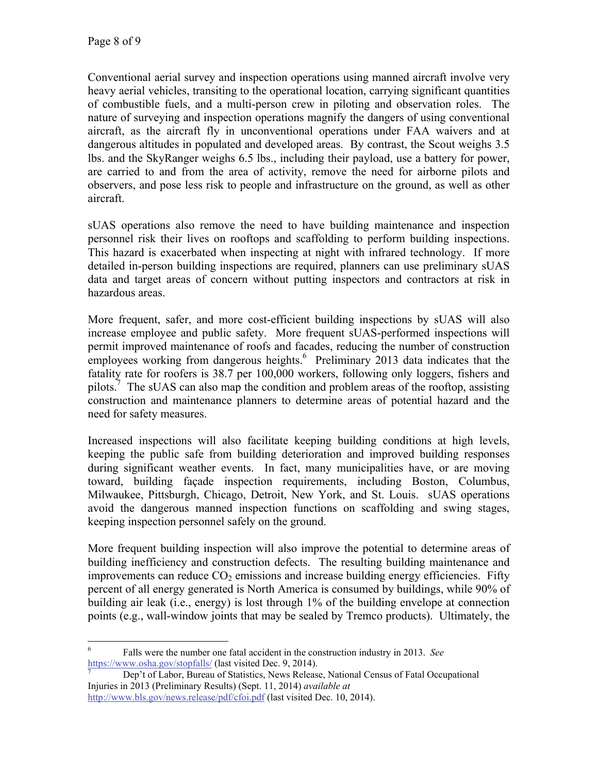Conventional aerial survey and inspection operations using manned aircraft involve very heavy aerial vehicles, transiting to the operational location, carrying significant quantities of combustible fuels, and a multi-person crew in piloting and observation roles. The nature of surveying and inspection operations magnify the dangers of using conventional aircraft, as the aircraft fly in unconventional operations under FAA waivers and at dangerous altitudes in populated and developed areas. By contrast, the Scout weighs 3.5 lbs. and the SkyRanger weighs 6.5 lbs., including their payload, use a battery for power, are carried to and from the area of activity, remove the need for airborne pilots and observers, and pose less risk to people and infrastructure on the ground, as well as other aircraft.

sUAS operations also remove the need to have building maintenance and inspection personnel risk their lives on rooftops and scaffolding to perform building inspections. This hazard is exacerbated when inspecting at night with infrared technology. If more detailed in-person building inspections are required, planners can use preliminary sUAS data and target areas of concern without putting inspectors and contractors at risk in hazardous areas.

More frequent, safer, and more cost-efficient building inspections by sUAS will also increase employee and public safety. More frequent sUAS-performed inspections will permit improved maintenance of roofs and facades, reducing the number of construction employees working from dangerous heights.<sup>6</sup> Preliminary 2013 data indicates that the fatality rate for roofers is 38.7 per 100,000 workers, following only loggers, fishers and pilots.<sup>7</sup> The sUAS can also map the condition and problem areas of the rooftop, assisting construction and maintenance planners to determine areas of potential hazard and the need for safety measures.

Increased inspections will also facilitate keeping building conditions at high levels, keeping the public safe from building deterioration and improved building responses during significant weather events. In fact, many municipalities have, or are moving toward, building façade inspection requirements, including Boston, Columbus, Milwaukee, Pittsburgh, Chicago, Detroit, New York, and St. Louis. sUAS operations avoid the dangerous manned inspection functions on scaffolding and swing stages, keeping inspection personnel safely on the ground.

More frequent building inspection will also improve the potential to determine areas of building inefficiency and construction defects. The resulting building maintenance and improvements can reduce  $CO<sub>2</sub>$  emissions and increase building energy efficiencies. Fifty percent of all energy generated is North America is consumed by buildings, while 90% of building air leak (i.e., energy) is lost through 1% of the building envelope at connection points (e.g., wall-window joints that may be sealed by Tremco products). Ultimately, the

 $\frac{1}{6}$  Falls were the number one fatal accident in the construction industry in 2013. *See* https://www.osha.gov/stopfalls/ (last visited Dec. 9, 2014).

Dep't of Labor, Bureau of Statistics, News Release, National Census of Fatal Occupational Injuries in 2013 (Preliminary Results) (Sept. 11, 2014) *available at* http://www.bls.gov/news.release/pdf/cfoi.pdf (last visited Dec. 10, 2014).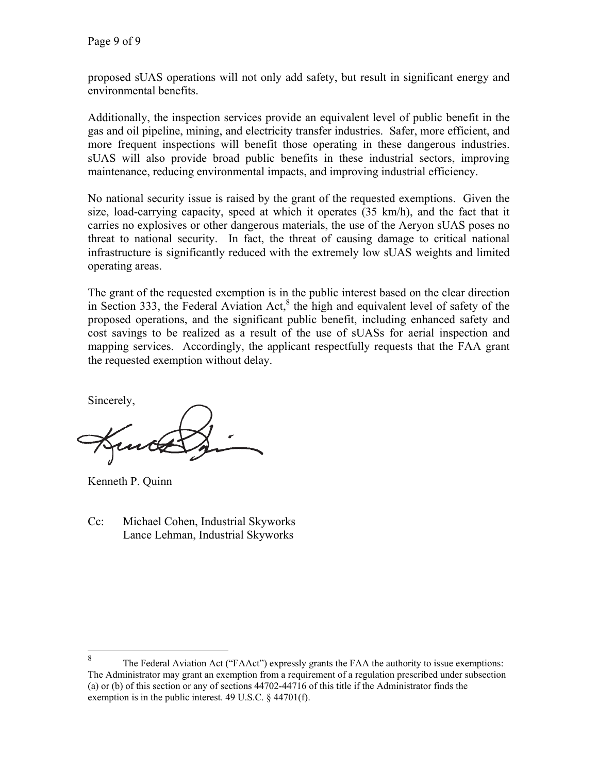proposed sUAS operations will not only add safety, but result in significant energy and environmental benefits.

Additionally, the inspection services provide an equivalent level of public benefit in the gas and oil pipeline, mining, and electricity transfer industries. Safer, more efficient, and more frequent inspections will benefit those operating in these dangerous industries. sUAS will also provide broad public benefits in these industrial sectors, improving maintenance, reducing environmental impacts, and improving industrial efficiency.

No national security issue is raised by the grant of the requested exemptions. Given the size, load-carrying capacity, speed at which it operates (35 km/h), and the fact that it carries no explosives or other dangerous materials, the use of the Aeryon sUAS poses no threat to national security. In fact, the threat of causing damage to critical national infrastructure is significantly reduced with the extremely low sUAS weights and limited operating areas.

The grant of the requested exemption is in the public interest based on the clear direction in Section 333, the Federal Aviation  $Act<sub>o</sub><sup>8</sup>$  the high and equivalent level of safety of the proposed operations, and the significant public benefit, including enhanced safety and cost savings to be realized as a result of the use of sUASs for aerial inspection and mapping services. Accordingly, the applicant respectfully requests that the FAA grant the requested exemption without delay.

Sincerely,

Kenneth P. Quinn

Cc: Michael Cohen, Industrial Skyworks Lance Lehman, Industrial Skyworks

<sup>8</sup> The Federal Aviation Act ("FAAct") expressly grants the FAA the authority to issue exemptions: The Administrator may grant an exemption from a requirement of a regulation prescribed under subsection (a) or (b) of this section or any of sections 44702-44716 of this title if the Administrator finds the exemption is in the public interest. 49 U.S.C. § 44701(f).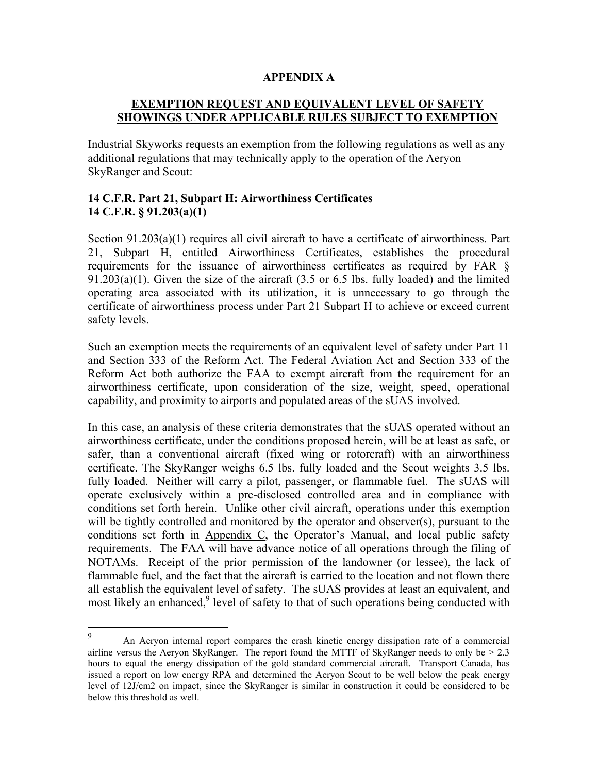#### **APPENDIX A**

## **EXEMPTION REQUEST AND EQUIVALENT LEVEL OF SAFETY SHOWINGS UNDER APPLICABLE RULES SUBJECT TO EXEMPTION**

Industrial Skyworks requests an exemption from the following regulations as well as any additional regulations that may technically apply to the operation of the Aeryon SkyRanger and Scout:

## **14 C.F.R. Part 21, Subpart H: Airworthiness Certificates 14 C.F.R. § 91.203(a)(1)**

Section 91.203(a)(1) requires all civil aircraft to have a certificate of airworthiness. Part 21, Subpart H, entitled Airworthiness Certificates, establishes the procedural requirements for the issuance of airworthiness certificates as required by FAR § 91.203(a)(1). Given the size of the aircraft (3.5 or 6.5 lbs. fully loaded) and the limited operating area associated with its utilization, it is unnecessary to go through the certificate of airworthiness process under Part 21 Subpart H to achieve or exceed current safety levels.

Such an exemption meets the requirements of an equivalent level of safety under Part 11 and Section 333 of the Reform Act. The Federal Aviation Act and Section 333 of the Reform Act both authorize the FAA to exempt aircraft from the requirement for an airworthiness certificate, upon consideration of the size, weight, speed, operational capability, and proximity to airports and populated areas of the sUAS involved.

In this case, an analysis of these criteria demonstrates that the sUAS operated without an airworthiness certificate, under the conditions proposed herein, will be at least as safe, or safer, than a conventional aircraft (fixed wing or rotorcraft) with an airworthiness certificate. The SkyRanger weighs 6.5 lbs. fully loaded and the Scout weights 3.5 lbs. fully loaded. Neither will carry a pilot, passenger, or flammable fuel. The sUAS will operate exclusively within a pre-disclosed controlled area and in compliance with conditions set forth herein. Unlike other civil aircraft, operations under this exemption will be tightly controlled and monitored by the operator and observer(s), pursuant to the conditions set forth in Appendix C, the Operator's Manual, and local public safety requirements. The FAA will have advance notice of all operations through the filing of NOTAMs. Receipt of the prior permission of the landowner (or lessee), the lack of flammable fuel, and the fact that the aircraft is carried to the location and not flown there all establish the equivalent level of safety. The sUAS provides at least an equivalent, and most likely an enhanced,<sup>9</sup> level of safety to that of such operations being conducted with

<sup>-&</sup>lt;br>9 An Aeryon internal report compares the crash kinetic energy dissipation rate of a commercial airline versus the Aeryon SkyRanger. The report found the MTTF of SkyRanger needs to only be  $> 2.3$ hours to equal the energy dissipation of the gold standard commercial aircraft. Transport Canada, has issued a report on low energy RPA and determined the Aeryon Scout to be well below the peak energy level of 12J/cm2 on impact, since the SkyRanger is similar in construction it could be considered to be below this threshold as well.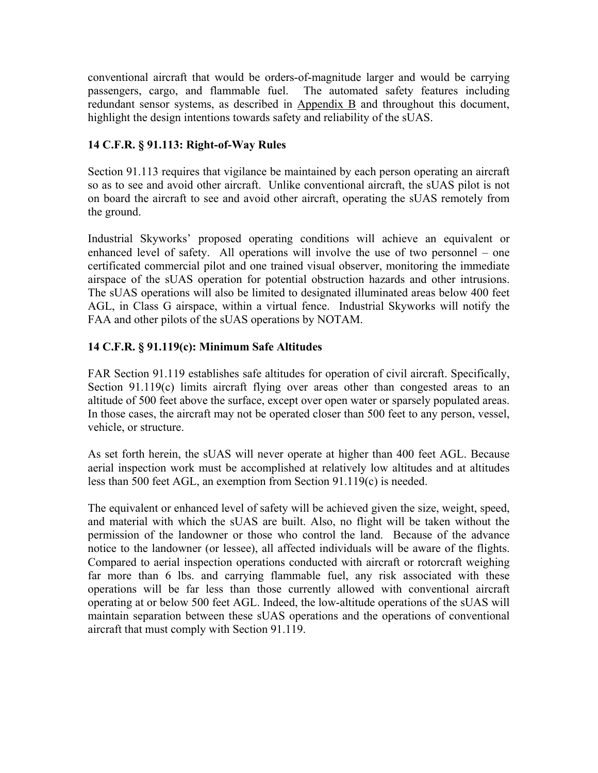conventional aircraft that would be orders-of-magnitude larger and would be carrying passengers, cargo, and flammable fuel. The automated safety features including redundant sensor systems, as described in Appendix B and throughout this document, highlight the design intentions towards safety and reliability of the sUAS.

# **14 C.F.R. § 91.113: Right-of-Way Rules**

Section 91.113 requires that vigilance be maintained by each person operating an aircraft so as to see and avoid other aircraft. Unlike conventional aircraft, the sUAS pilot is not on board the aircraft to see and avoid other aircraft, operating the sUAS remotely from the ground.

Industrial Skyworks' proposed operating conditions will achieve an equivalent or enhanced level of safety. All operations will involve the use of two personnel – one certificated commercial pilot and one trained visual observer, monitoring the immediate airspace of the sUAS operation for potential obstruction hazards and other intrusions. The sUAS operations will also be limited to designated illuminated areas below 400 feet AGL, in Class G airspace, within a virtual fence. Industrial Skyworks will notify the FAA and other pilots of the sUAS operations by NOTAM.

## **14 C.F.R. § 91.119(c): Minimum Safe Altitudes**

FAR Section 91.119 establishes safe altitudes for operation of civil aircraft. Specifically, Section 91.119(c) limits aircraft flying over areas other than congested areas to an altitude of 500 feet above the surface, except over open water or sparsely populated areas. In those cases, the aircraft may not be operated closer than 500 feet to any person, vessel, vehicle, or structure.

As set forth herein, the sUAS will never operate at higher than 400 feet AGL. Because aerial inspection work must be accomplished at relatively low altitudes and at altitudes less than 500 feet AGL, an exemption from Section 91.119(c) is needed.

The equivalent or enhanced level of safety will be achieved given the size, weight, speed, and material with which the sUAS are built. Also, no flight will be taken without the permission of the landowner or those who control the land. Because of the advance notice to the landowner (or lessee), all affected individuals will be aware of the flights. Compared to aerial inspection operations conducted with aircraft or rotorcraft weighing far more than 6 lbs. and carrying flammable fuel, any risk associated with these operations will be far less than those currently allowed with conventional aircraft operating at or below 500 feet AGL. Indeed, the low-altitude operations of the sUAS will maintain separation between these sUAS operations and the operations of conventional aircraft that must comply with Section 91.119.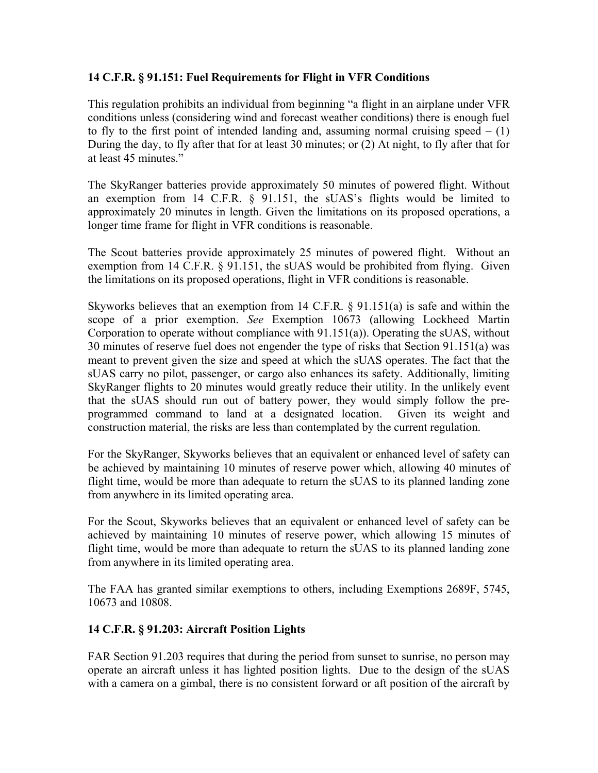## **14 C.F.R. § 91.151: Fuel Requirements for Flight in VFR Conditions**

This regulation prohibits an individual from beginning "a flight in an airplane under VFR conditions unless (considering wind and forecast weather conditions) there is enough fuel to fly to the first point of intended landing and, assuming normal cruising speed  $- (1)$ During the day, to fly after that for at least 30 minutes; or (2) At night, to fly after that for at least 45 minutes."

The SkyRanger batteries provide approximately 50 minutes of powered flight. Without an exemption from 14 C.F.R. § 91.151, the sUAS's flights would be limited to approximately 20 minutes in length. Given the limitations on its proposed operations, a longer time frame for flight in VFR conditions is reasonable.

The Scout batteries provide approximately 25 minutes of powered flight. Without an exemption from 14 C.F.R. § 91.151, the sUAS would be prohibited from flying. Given the limitations on its proposed operations, flight in VFR conditions is reasonable.

Skyworks believes that an exemption from 14 C.F.R. § 91.151(a) is safe and within the scope of a prior exemption. *See* Exemption 10673 (allowing Lockheed Martin Corporation to operate without compliance with 91.151(a)). Operating the sUAS, without 30 minutes of reserve fuel does not engender the type of risks that Section 91.151(a) was meant to prevent given the size and speed at which the sUAS operates. The fact that the sUAS carry no pilot, passenger, or cargo also enhances its safety. Additionally, limiting SkyRanger flights to 20 minutes would greatly reduce their utility. In the unlikely event that the sUAS should run out of battery power, they would simply follow the preprogrammed command to land at a designated location. Given its weight and construction material, the risks are less than contemplated by the current regulation.

For the SkyRanger, Skyworks believes that an equivalent or enhanced level of safety can be achieved by maintaining 10 minutes of reserve power which, allowing 40 minutes of flight time, would be more than adequate to return the sUAS to its planned landing zone from anywhere in its limited operating area.

For the Scout, Skyworks believes that an equivalent or enhanced level of safety can be achieved by maintaining 10 minutes of reserve power, which allowing 15 minutes of flight time, would be more than adequate to return the sUAS to its planned landing zone from anywhere in its limited operating area.

The FAA has granted similar exemptions to others, including Exemptions 2689F, 5745, 10673 and 10808.

## **14 C.F.R. § 91.203: Aircraft Position Lights**

FAR Section 91.203 requires that during the period from sunset to sunrise, no person may operate an aircraft unless it has lighted position lights. Due to the design of the sUAS with a camera on a gimbal, there is no consistent forward or aft position of the aircraft by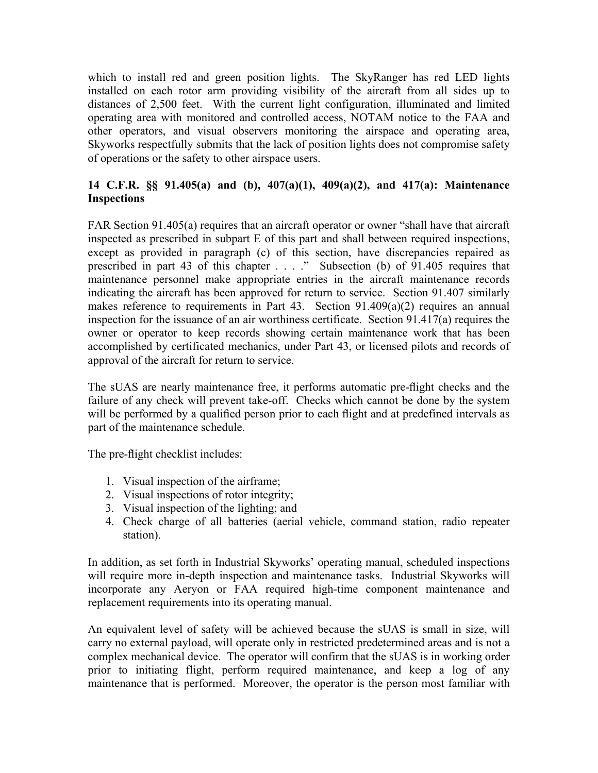which to install red and green position lights. The SkyRanger has red LED lights installed on each rotor arm providing visibility of the aircraft from all sides up to distances of 2,500 feet. With the current light configuration, illuminated and limited operating area with monitored and controlled access, NOTAM notice to the FAA and other operators, and visual observers monitoring the airspace and operating area, Skyworks respectfully submits that the lack of position lights does not compromise safety of operations or the safety to other airspace users.

## **14 C.F.R. §§ 91.405(a) and (b), 407(a)(1), 409(a)(2), and 417(a): Maintenance Inspections**

FAR Section 91.405(a) requires that an aircraft operator or owner "shall have that aircraft inspected as prescribed in subpart E of this part and shall between required inspections, except as provided in paragraph (c) of this section, have discrepancies repaired as prescribed in part 43 of this chapter . . . ." Subsection (b) of 91.405 requires that maintenance personnel make appropriate entries in the aircraft maintenance records indicating the aircraft has been approved for return to service. Section 91.407 similarly makes reference to requirements in Part 43. Section 91.409(a)(2) requires an annual inspection for the issuance of an air worthiness certificate. Section 91.417(a) requires the owner or operator to keep records showing certain maintenance work that has been accomplished by certificated mechanics, under Part 43, or licensed pilots and records of approval of the aircraft for return to service.

The sUAS are nearly maintenance free, it performs automatic pre-flight checks and the failure of any check will prevent take-off. Checks which cannot be done by the system will be performed by a qualified person prior to each flight and at predefined intervals as part of the maintenance schedule.

The pre-flight checklist includes:

- 1. Visual inspection of the airframe;
- 2. Visual inspections of rotor integrity;
- 3. Visual inspection of the lighting; and
- 4. Check charge of all batteries (aerial vehicle, command station, radio repeater station).

In addition, as set forth in Industrial Skyworks' operating manual, scheduled inspections will require more in-depth inspection and maintenance tasks. Industrial Skyworks will incorporate any Aeryon or FAA required high-time component maintenance and replacement requirements into its operating manual.

An equivalent level of safety will be achieved because the sUAS is small in size, will carry no external payload, will operate only in restricted predetermined areas and is not a complex mechanical device. The operator will confirm that the sUAS is in working order prior to initiating flight, perform required maintenance, and keep a log of any maintenance that is performed. Moreover, the operator is the person most familiar with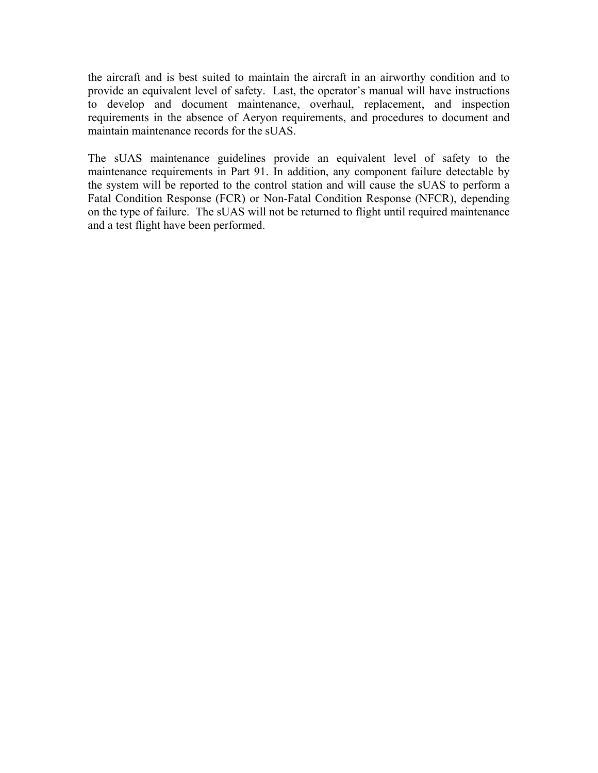the aircraft and is best suited to maintain the aircraft in an airworthy condition and to provide an equivalent level of safety. Last, the operator's manual will have instructions to develop and document maintenance, overhaul, replacement, and inspection requirements in the absence of Aeryon requirements, and procedures to document and maintain maintenance records for the sUAS.

The sUAS maintenance guidelines provide an equivalent level of safety to the maintenance requirements in Part 91. In addition, any component failure detectable by the system will be reported to the control station and will cause the sUAS to perform a Fatal Condition Response (FCR) or Non-Fatal Condition Response (NFCR), depending on the type of failure. The sUAS will not be returned to flight until required maintenance and a test flight have been performed.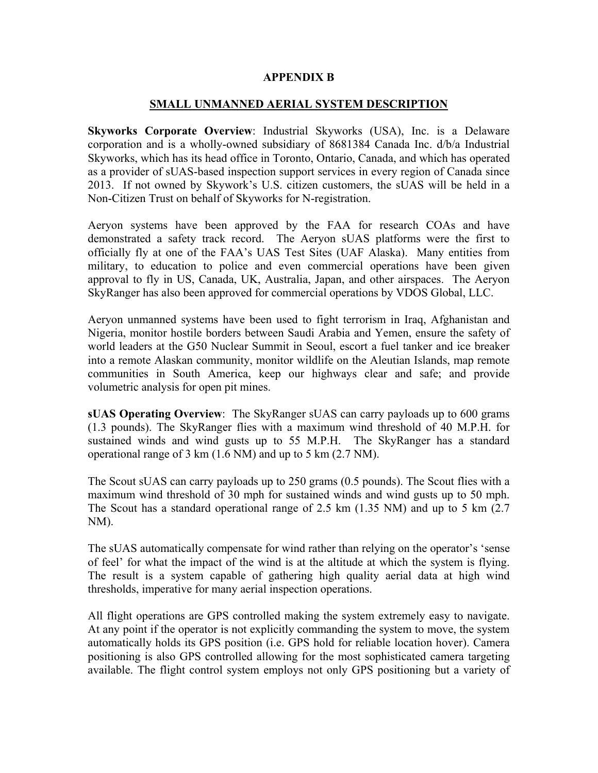#### **APPENDIX B**

#### **SMALL UNMANNED AERIAL SYSTEM DESCRIPTION**

**Skyworks Corporate Overview**: Industrial Skyworks (USA), Inc. is a Delaware corporation and is a wholly-owned subsidiary of 8681384 Canada Inc. d/b/a Industrial Skyworks, which has its head office in Toronto, Ontario, Canada, and which has operated as a provider of sUAS-based inspection support services in every region of Canada since 2013. If not owned by Skywork's U.S. citizen customers, the sUAS will be held in a Non-Citizen Trust on behalf of Skyworks for N-registration.

Aeryon systems have been approved by the FAA for research COAs and have demonstrated a safety track record. The Aeryon sUAS platforms were the first to officially fly at one of the FAA's UAS Test Sites (UAF Alaska). Many entities from military, to education to police and even commercial operations have been given approval to fly in US, Canada, UK, Australia, Japan, and other airspaces. The Aeryon SkyRanger has also been approved for commercial operations by VDOS Global, LLC.

Aeryon unmanned systems have been used to fight terrorism in Iraq, Afghanistan and Nigeria, monitor hostile borders between Saudi Arabia and Yemen, ensure the safety of world leaders at the G50 Nuclear Summit in Seoul, escort a fuel tanker and ice breaker into a remote Alaskan community, monitor wildlife on the Aleutian Islands, map remote communities in South America, keep our highways clear and safe; and provide volumetric analysis for open pit mines.

**sUAS Operating Overview**: The SkyRanger sUAS can carry payloads up to 600 grams (1.3 pounds). The SkyRanger flies with a maximum wind threshold of 40 M.P.H. for sustained winds and wind gusts up to 55 M.P.H. The SkyRanger has a standard operational range of 3 km (1.6 NM) and up to 5 km (2.7 NM).

The Scout sUAS can carry payloads up to 250 grams (0.5 pounds). The Scout flies with a maximum wind threshold of 30 mph for sustained winds and wind gusts up to 50 mph. The Scout has a standard operational range of 2.5 km (1.35 NM) and up to 5 km (2.7 NM).

The sUAS automatically compensate for wind rather than relying on the operator's 'sense of feel' for what the impact of the wind is at the altitude at which the system is flying. The result is a system capable of gathering high quality aerial data at high wind thresholds, imperative for many aerial inspection operations.

All flight operations are GPS controlled making the system extremely easy to navigate. At any point if the operator is not explicitly commanding the system to move, the system automatically holds its GPS position (i.e. GPS hold for reliable location hover). Camera positioning is also GPS controlled allowing for the most sophisticated camera targeting available. The flight control system employs not only GPS positioning but a variety of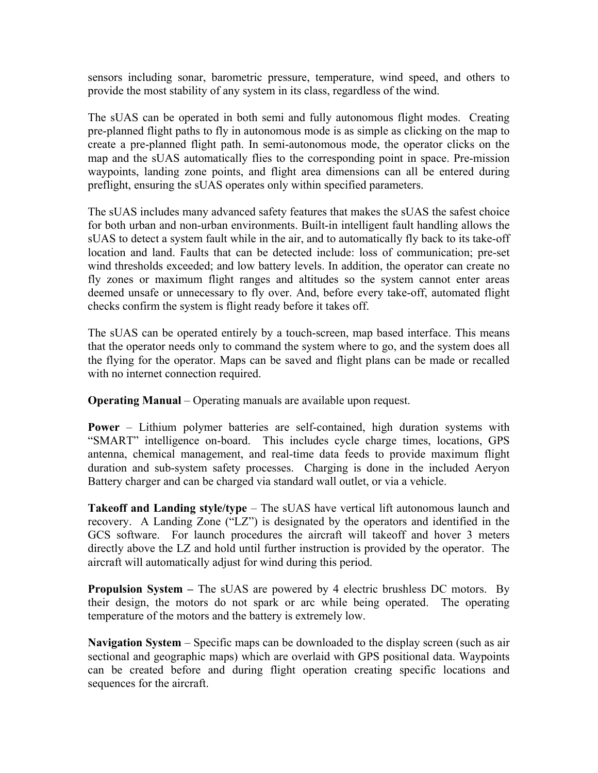sensors including sonar, barometric pressure, temperature, wind speed, and others to provide the most stability of any system in its class, regardless of the wind.

The sUAS can be operated in both semi and fully autonomous flight modes. Creating pre-planned flight paths to fly in autonomous mode is as simple as clicking on the map to create a pre-planned flight path. In semi-autonomous mode, the operator clicks on the map and the sUAS automatically flies to the corresponding point in space. Pre-mission waypoints, landing zone points, and flight area dimensions can all be entered during preflight, ensuring the sUAS operates only within specified parameters.

The sUAS includes many advanced safety features that makes the sUAS the safest choice for both urban and non-urban environments. Built-in intelligent fault handling allows the sUAS to detect a system fault while in the air, and to automatically fly back to its take-off location and land. Faults that can be detected include: loss of communication; pre-set wind thresholds exceeded; and low battery levels. In addition, the operator can create no fly zones or maximum flight ranges and altitudes so the system cannot enter areas deemed unsafe or unnecessary to fly over. And, before every take-off, automated flight checks confirm the system is flight ready before it takes off.

The sUAS can be operated entirely by a touch-screen, map based interface. This means that the operator needs only to command the system where to go, and the system does all the flying for the operator. Maps can be saved and flight plans can be made or recalled with no internet connection required.

**Operating Manual** – Operating manuals are available upon request.

**Power** – Lithium polymer batteries are self-contained, high duration systems with "SMART" intelligence on-board. This includes cycle charge times, locations, GPS antenna, chemical management, and real-time data feeds to provide maximum flight duration and sub-system safety processes. Charging is done in the included Aeryon Battery charger and can be charged via standard wall outlet, or via a vehicle.

**Takeoff and Landing style/type** – The sUAS have vertical lift autonomous launch and recovery. A Landing Zone ("LZ") is designated by the operators and identified in the GCS software. For launch procedures the aircraft will takeoff and hover 3 meters directly above the LZ and hold until further instruction is provided by the operator. The aircraft will automatically adjust for wind during this period.

**Propulsion System –** The sUAS are powered by 4 electric brushless DC motors. By their design, the motors do not spark or arc while being operated. The operating temperature of the motors and the battery is extremely low.

**Navigation System** – Specific maps can be downloaded to the display screen (such as air sectional and geographic maps) which are overlaid with GPS positional data. Waypoints can be created before and during flight operation creating specific locations and sequences for the aircraft.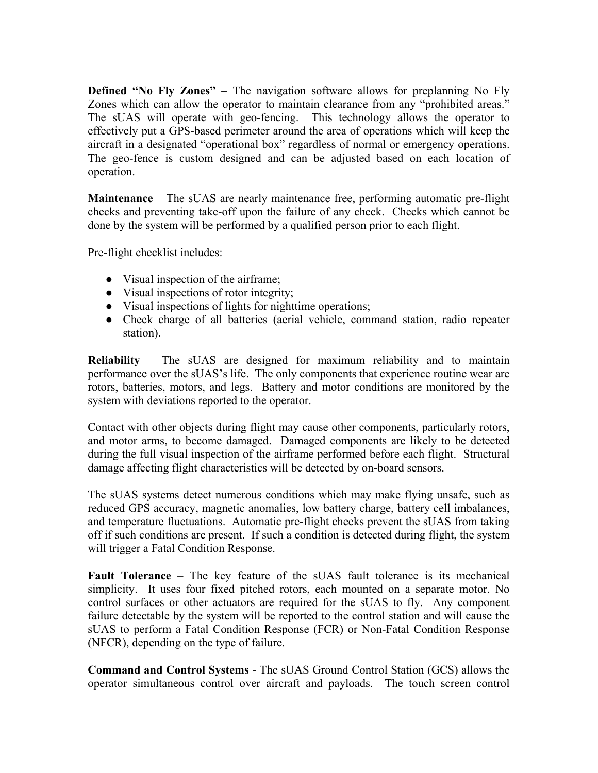**Defined "No Fly Zones" –** The navigation software allows for preplanning No Fly Zones which can allow the operator to maintain clearance from any "prohibited areas." The sUAS will operate with geo-fencing. This technology allows the operator to effectively put a GPS-based perimeter around the area of operations which will keep the aircraft in a designated "operational box" regardless of normal or emergency operations. The geo-fence is custom designed and can be adjusted based on each location of operation.

**Maintenance** – The sUAS are nearly maintenance free, performing automatic pre-flight checks and preventing take-off upon the failure of any check. Checks which cannot be done by the system will be performed by a qualified person prior to each flight.

Pre-flight checklist includes:

- Visual inspection of the airframe;
- Visual inspections of rotor integrity;
- Visual inspections of lights for nighttime operations;
- Check charge of all batteries (aerial vehicle, command station, radio repeater station).

**Reliability** – The sUAS are designed for maximum reliability and to maintain performance over the sUAS's life. The only components that experience routine wear are rotors, batteries, motors, and legs. Battery and motor conditions are monitored by the system with deviations reported to the operator.

Contact with other objects during flight may cause other components, particularly rotors, and motor arms, to become damaged. Damaged components are likely to be detected during the full visual inspection of the airframe performed before each flight. Structural damage affecting flight characteristics will be detected by on-board sensors.

The sUAS systems detect numerous conditions which may make flying unsafe, such as reduced GPS accuracy, magnetic anomalies, low battery charge, battery cell imbalances, and temperature fluctuations. Automatic pre-flight checks prevent the sUAS from taking off if such conditions are present. If such a condition is detected during flight, the system will trigger a Fatal Condition Response.

**Fault Tolerance** – The key feature of the sUAS fault tolerance is its mechanical simplicity. It uses four fixed pitched rotors, each mounted on a separate motor. No control surfaces or other actuators are required for the sUAS to fly. Any component failure detectable by the system will be reported to the control station and will cause the sUAS to perform a Fatal Condition Response (FCR) or Non-Fatal Condition Response (NFCR), depending on the type of failure.

**Command and Control Systems** - The sUAS Ground Control Station (GCS) allows the operator simultaneous control over aircraft and payloads. The touch screen control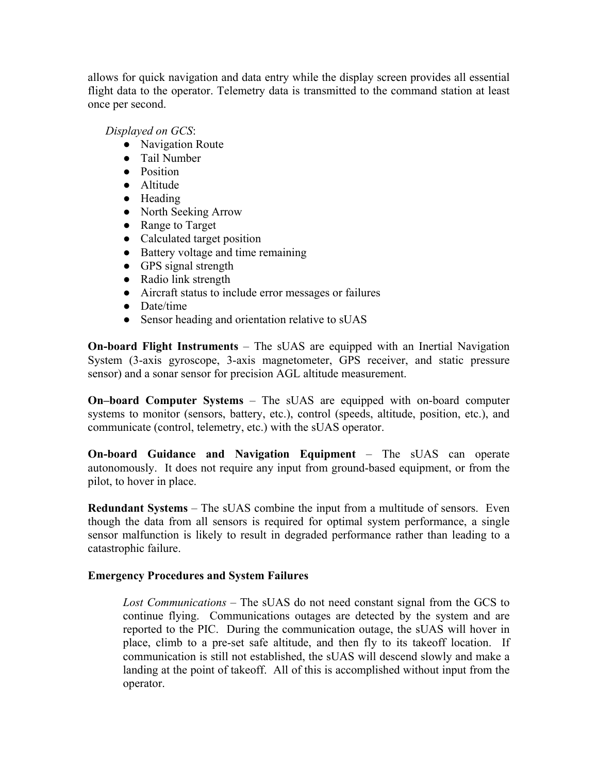allows for quick navigation and data entry while the display screen provides all essential flight data to the operator. Telemetry data is transmitted to the command station at least once per second.

*Displayed on GCS*:

- Navigation Route
- Tail Number
- Position
- Altitude
- Heading
- North Seeking Arrow
- Range to Target
- Calculated target position
- Battery voltage and time remaining
- GPS signal strength
- Radio link strength
- Aircraft status to include error messages or failures
- Date/time
- Sensor heading and orientation relative to sUAS

**On-board Flight Instruments** – The sUAS are equipped with an Inertial Navigation System (3-axis gyroscope, 3-axis magnetometer, GPS receiver, and static pressure sensor) and a sonar sensor for precision AGL altitude measurement.

**On–board Computer Systems** – The sUAS are equipped with on-board computer systems to monitor (sensors, battery, etc.), control (speeds, altitude, position, etc.), and communicate (control, telemetry, etc.) with the sUAS operator.

**On-board Guidance and Navigation Equipment** – The sUAS can operate autonomously. It does not require any input from ground-based equipment, or from the pilot, to hover in place.

**Redundant Systems** – The sUAS combine the input from a multitude of sensors. Even though the data from all sensors is required for optimal system performance, a single sensor malfunction is likely to result in degraded performance rather than leading to a catastrophic failure.

## **Emergency Procedures and System Failures**

*Lost Communications* – The sUAS do not need constant signal from the GCS to continue flying. Communications outages are detected by the system and are reported to the PIC. During the communication outage, the sUAS will hover in place, climb to a pre-set safe altitude, and then fly to its takeoff location. If communication is still not established, the sUAS will descend slowly and make a landing at the point of takeoff. All of this is accomplished without input from the operator.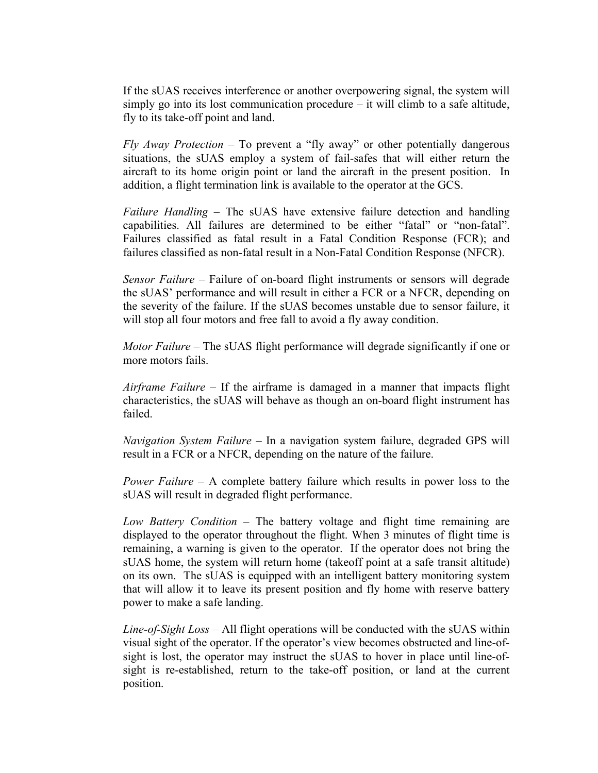If the sUAS receives interference or another overpowering signal, the system will simply go into its lost communication procedure – it will climb to a safe altitude, fly to its take-off point and land.

*Fly Away Protection* – To prevent a "fly away" or other potentially dangerous situations, the sUAS employ a system of fail-safes that will either return the aircraft to its home origin point or land the aircraft in the present position. In addition, a flight termination link is available to the operator at the GCS.

*Failure Handling* – The sUAS have extensive failure detection and handling capabilities. All failures are determined to be either "fatal" or "non-fatal". Failures classified as fatal result in a Fatal Condition Response (FCR); and failures classified as non-fatal result in a Non-Fatal Condition Response (NFCR).

*Sensor Failure* – Failure of on-board flight instruments or sensors will degrade the sUAS' performance and will result in either a FCR or a NFCR, depending on the severity of the failure. If the sUAS becomes unstable due to sensor failure, it will stop all four motors and free fall to avoid a fly away condition.

*Motor Failure* – The sUAS flight performance will degrade significantly if one or more motors fails.

*Airframe Failure* – If the airframe is damaged in a manner that impacts flight characteristics, the sUAS will behave as though an on-board flight instrument has failed.

*Navigation System Failure* – In a navigation system failure, degraded GPS will result in a FCR or a NFCR, depending on the nature of the failure.

*Power Failure* – A complete battery failure which results in power loss to the sUAS will result in degraded flight performance.

*Low Battery Condition* – The battery voltage and flight time remaining are displayed to the operator throughout the flight. When 3 minutes of flight time is remaining, a warning is given to the operator. If the operator does not bring the sUAS home, the system will return home (takeoff point at a safe transit altitude) on its own. The sUAS is equipped with an intelligent battery monitoring system that will allow it to leave its present position and fly home with reserve battery power to make a safe landing.

*Line-of-Sight Loss* – All flight operations will be conducted with the sUAS within visual sight of the operator. If the operator's view becomes obstructed and line-ofsight is lost, the operator may instruct the sUAS to hover in place until line-ofsight is re-established, return to the take-off position, or land at the current position.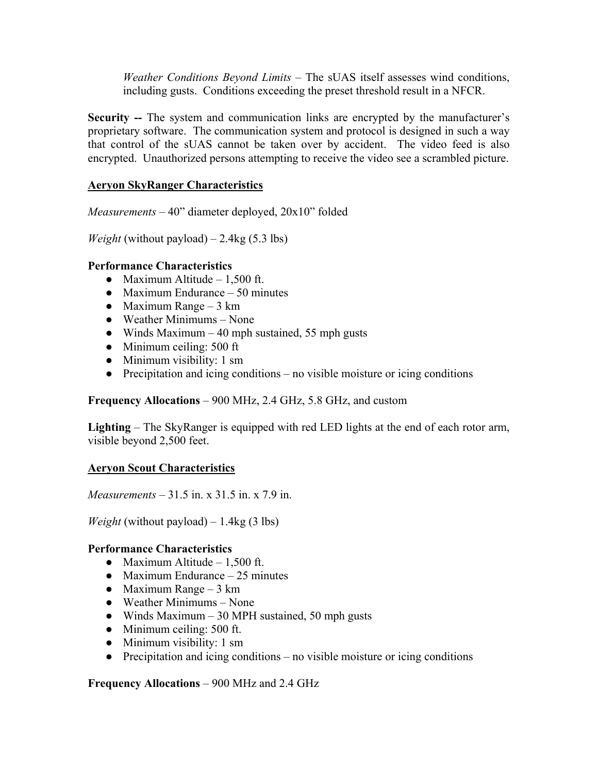*Weather Conditions Beyond Limits* – The sUAS itself assesses wind conditions, including gusts. Conditions exceeding the preset threshold result in a NFCR.

**Security --** The system and communication links are encrypted by the manufacturer's proprietary software. The communication system and protocol is designed in such a way that control of the sUAS cannot be taken over by accident. The video feed is also encrypted. Unauthorized persons attempting to receive the video see a scrambled picture.

### **Aeryon SkyRanger Characteristics**

*Measurements* – 40" diameter deployed, 20x10" folded

*Weight* (without payload) – 2.4kg (5.3 lbs)

#### **Performance Characteristics**

- Maximum Altitude  $-1,500$  ft.
- Maximum Endurance  $-50$  minutes
- Maximum Range 3 km
- Weather Minimums None
- Winds Maximum  $-40$  mph sustained, 55 mph gusts
- Minimum ceiling:  $500 \text{ ft}$
- Minimum visibility: 1 sm
- $\bullet$  Precipitation and icing conditions no visible moisture or icing conditions

**Frequency Allocations** – 900 MHz, 2.4 GHz, 5.8 GHz, and custom

**Lighting** – The SkyRanger is equipped with red LED lights at the end of each rotor arm, visible beyond 2,500 feet.

#### **Aeryon Scout Characteristics**

*Measurements* – 31.5 in. x 31.5 in. x 7.9 in.

*Weight* (without payload)  $-1.4$ kg (3 lbs)

#### **Performance Characteristics**

- Maximum Altitude  $-1.500$  ft.
- Maximum Endurance  $-25$  minutes
- Maximum Range 3 km
- Weather Minimums None
- Winds Maximum 30 MPH sustained, 50 mph gusts
- Minimum ceiling: 500 ft.
- Minimum visibility: 1 sm
- $\bullet$  Precipitation and icing conditions no visible moisture or icing conditions

**Frequency Allocations** – 900 MHz and 2.4 GHz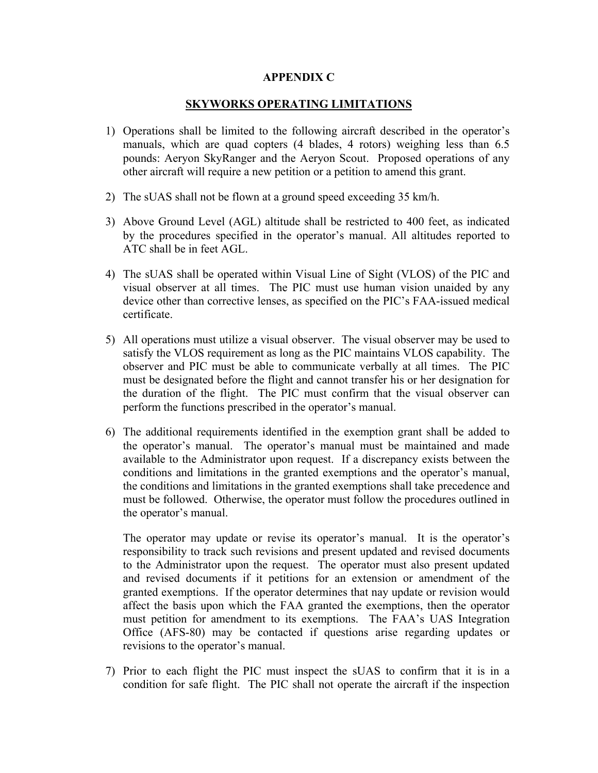#### **APPENDIX C**

### **SKYWORKS OPERATING LIMITATIONS**

- 1) Operations shall be limited to the following aircraft described in the operator's manuals, which are quad copters (4 blades, 4 rotors) weighing less than 6.5 pounds: Aeryon SkyRanger and the Aeryon Scout. Proposed operations of any other aircraft will require a new petition or a petition to amend this grant.
- 2) The sUAS shall not be flown at a ground speed exceeding 35 km/h.
- 3) Above Ground Level (AGL) altitude shall be restricted to 400 feet, as indicated by the procedures specified in the operator's manual. All altitudes reported to ATC shall be in feet AGL.
- 4) The sUAS shall be operated within Visual Line of Sight (VLOS) of the PIC and visual observer at all times. The PIC must use human vision unaided by any device other than corrective lenses, as specified on the PIC's FAA-issued medical certificate.
- 5) All operations must utilize a visual observer. The visual observer may be used to satisfy the VLOS requirement as long as the PIC maintains VLOS capability. The observer and PIC must be able to communicate verbally at all times. The PIC must be designated before the flight and cannot transfer his or her designation for the duration of the flight. The PIC must confirm that the visual observer can perform the functions prescribed in the operator's manual.
- 6) The additional requirements identified in the exemption grant shall be added to the operator's manual. The operator's manual must be maintained and made available to the Administrator upon request. If a discrepancy exists between the conditions and limitations in the granted exemptions and the operator's manual, the conditions and limitations in the granted exemptions shall take precedence and must be followed. Otherwise, the operator must follow the procedures outlined in the operator's manual.

The operator may update or revise its operator's manual. It is the operator's responsibility to track such revisions and present updated and revised documents to the Administrator upon the request. The operator must also present updated and revised documents if it petitions for an extension or amendment of the granted exemptions. If the operator determines that nay update or revision would affect the basis upon which the FAA granted the exemptions, then the operator must petition for amendment to its exemptions. The FAA's UAS Integration Office (AFS-80) may be contacted if questions arise regarding updates or revisions to the operator's manual.

7) Prior to each flight the PIC must inspect the sUAS to confirm that it is in a condition for safe flight. The PIC shall not operate the aircraft if the inspection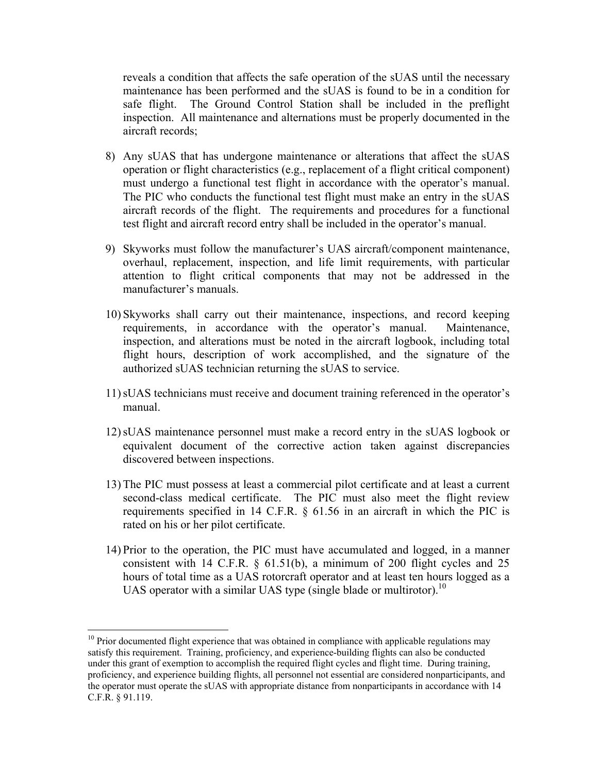reveals a condition that affects the safe operation of the sUAS until the necessary maintenance has been performed and the sUAS is found to be in a condition for safe flight. The Ground Control Station shall be included in the preflight inspection. All maintenance and alternations must be properly documented in the aircraft records;

- 8) Any sUAS that has undergone maintenance or alterations that affect the sUAS operation or flight characteristics (e.g., replacement of a flight critical component) must undergo a functional test flight in accordance with the operator's manual. The PIC who conducts the functional test flight must make an entry in the sUAS aircraft records of the flight. The requirements and procedures for a functional test flight and aircraft record entry shall be included in the operator's manual.
- 9) Skyworks must follow the manufacturer's UAS aircraft/component maintenance, overhaul, replacement, inspection, and life limit requirements, with particular attention to flight critical components that may not be addressed in the manufacturer's manuals.
- 10) Skyworks shall carry out their maintenance, inspections, and record keeping requirements, in accordance with the operator's manual. Maintenance, inspection, and alterations must be noted in the aircraft logbook, including total flight hours, description of work accomplished, and the signature of the authorized sUAS technician returning the sUAS to service.
- 11)sUAS technicians must receive and document training referenced in the operator's manual.
- 12)sUAS maintenance personnel must make a record entry in the sUAS logbook or equivalent document of the corrective action taken against discrepancies discovered between inspections.
- 13) The PIC must possess at least a commercial pilot certificate and at least a current second-class medical certificate. The PIC must also meet the flight review requirements specified in 14 C.F.R. § 61.56 in an aircraft in which the PIC is rated on his or her pilot certificate.
- 14) Prior to the operation, the PIC must have accumulated and logged, in a manner consistent with 14 C.F.R. § 61.51(b), a minimum of 200 flight cycles and 25 hours of total time as a UAS rotorcraft operator and at least ten hours logged as a UAS operator with a similar UAS type (single blade or multirotor).<sup>10</sup>

 $\overline{a}$ 

 $10$  Prior documented flight experience that was obtained in compliance with applicable regulations may satisfy this requirement. Training, proficiency, and experience-building flights can also be conducted under this grant of exemption to accomplish the required flight cycles and flight time. During training, proficiency, and experience building flights, all personnel not essential are considered nonparticipants, and the operator must operate the sUAS with appropriate distance from nonparticipants in accordance with 14 C.F.R. § 91.119.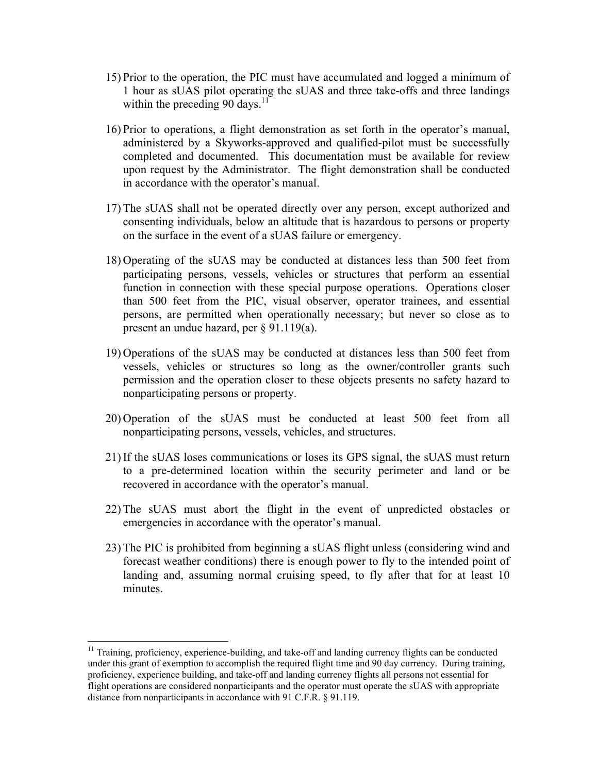- 15) Prior to the operation, the PIC must have accumulated and logged a minimum of 1 hour as sUAS pilot operating the sUAS and three take-offs and three landings within the preceding 90 days. $11^{\circ}$
- 16) Prior to operations, a flight demonstration as set forth in the operator's manual, administered by a Skyworks-approved and qualified-pilot must be successfully completed and documented. This documentation must be available for review upon request by the Administrator. The flight demonstration shall be conducted in accordance with the operator's manual.
- 17) The sUAS shall not be operated directly over any person, except authorized and consenting individuals, below an altitude that is hazardous to persons or property on the surface in the event of a sUAS failure or emergency.
- 18) Operating of the sUAS may be conducted at distances less than 500 feet from participating persons, vessels, vehicles or structures that perform an essential function in connection with these special purpose operations. Operations closer than 500 feet from the PIC, visual observer, operator trainees, and essential persons, are permitted when operationally necessary; but never so close as to present an undue hazard, per § 91.119(a).
- 19) Operations of the sUAS may be conducted at distances less than 500 feet from vessels, vehicles or structures so long as the owner/controller grants such permission and the operation closer to these objects presents no safety hazard to nonparticipating persons or property.
- 20) Operation of the sUAS must be conducted at least 500 feet from all nonparticipating persons, vessels, vehicles, and structures.
- 21) If the sUAS loses communications or loses its GPS signal, the sUAS must return to a pre-determined location within the security perimeter and land or be recovered in accordance with the operator's manual.
- 22) The sUAS must abort the flight in the event of unpredicted obstacles or emergencies in accordance with the operator's manual.
- 23) The PIC is prohibited from beginning a sUAS flight unless (considering wind and forecast weather conditions) there is enough power to fly to the intended point of landing and, assuming normal cruising speed, to fly after that for at least 10 minutes.

 $\overline{a}$ 

<sup>&</sup>lt;sup>11</sup> Training, proficiency, experience-building, and take-off and landing currency flights can be conducted under this grant of exemption to accomplish the required flight time and 90 day currency. During training, proficiency, experience building, and take-off and landing currency flights all persons not essential for flight operations are considered nonparticipants and the operator must operate the sUAS with appropriate distance from nonparticipants in accordance with 91 C.F.R. § 91.119.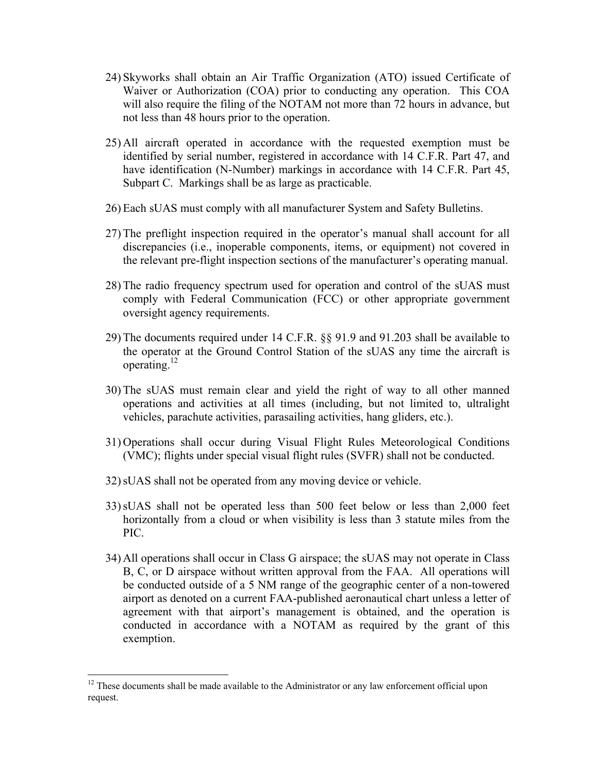- 24) Skyworks shall obtain an Air Traffic Organization (ATO) issued Certificate of Waiver or Authorization (COA) prior to conducting any operation. This COA will also require the filing of the NOTAM not more than 72 hours in advance, but not less than 48 hours prior to the operation.
- 25) All aircraft operated in accordance with the requested exemption must be identified by serial number, registered in accordance with 14 C.F.R. Part 47, and have identification (N-Number) markings in accordance with 14 C.F.R. Part 45, Subpart C. Markings shall be as large as practicable.
- 26) Each sUAS must comply with all manufacturer System and Safety Bulletins.
- 27) The preflight inspection required in the operator's manual shall account for all discrepancies (i.e., inoperable components, items, or equipment) not covered in the relevant pre-flight inspection sections of the manufacturer's operating manual.
- 28) The radio frequency spectrum used for operation and control of the sUAS must comply with Federal Communication (FCC) or other appropriate government oversight agency requirements.
- 29) The documents required under 14 C.F.R. §§ 91.9 and 91.203 shall be available to the operator at the Ground Control Station of the sUAS any time the aircraft is operating.12
- 30) The sUAS must remain clear and yield the right of way to all other manned operations and activities at all times (including, but not limited to, ultralight vehicles, parachute activities, parasailing activities, hang gliders, etc.).
- 31) Operations shall occur during Visual Flight Rules Meteorological Conditions (VMC); flights under special visual flight rules (SVFR) shall not be conducted.
- 32)sUAS shall not be operated from any moving device or vehicle.
- 33)sUAS shall not be operated less than 500 feet below or less than 2,000 feet horizontally from a cloud or when visibility is less than 3 statute miles from the PIC.
- 34) All operations shall occur in Class G airspace; the sUAS may not operate in Class B, C, or D airspace without written approval from the FAA. All operations will be conducted outside of a 5 NM range of the geographic center of a non-towered airport as denoted on a current FAA-published aeronautical chart unless a letter of agreement with that airport's management is obtained, and the operation is conducted in accordance with a NOTAM as required by the grant of this exemption.

 $\overline{a}$ 

 $12$  These documents shall be made available to the Administrator or any law enforcement official upon request.